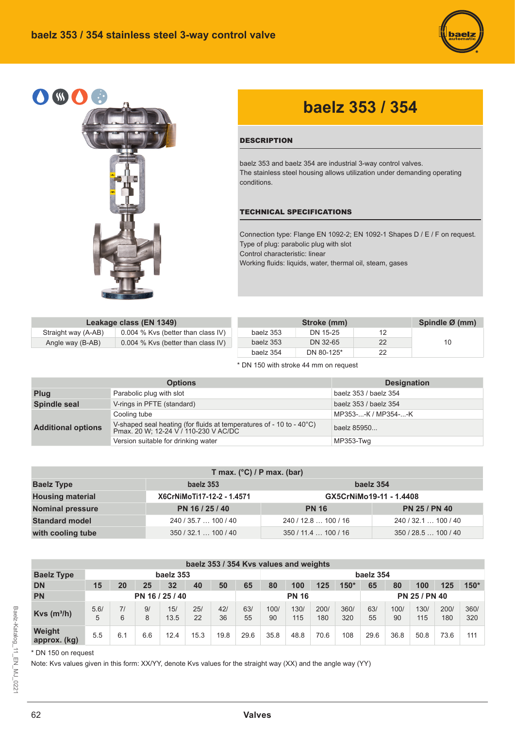



## **baelz 353 / 354**

## **DESCRIPTION**

baelz 353 and baelz 354 are industrial 3-way control valves. The stainless steel housing allows utilization under demanding operating conditions.

## TECHNICAL SPECIFICATIONS

Connection type: Flange EN 1092-2; EN 1092-1 Shapes D / E / F on request. Type of plug: parabolic plug with slot Control characteristic: linear Working fluids: liquids, water, thermal oil, steam, gases

|                     | Leakage class (EN 1349)            |           | Stroke (mm) |    | Spindle Ø (mm) |
|---------------------|------------------------------------|-----------|-------------|----|----------------|
| Straight way (A-AB) | 0.004 % Kvs (better than class IV) | baelz 353 | DN 15-25    | 12 |                |
| Angle way (B-AB)    | 0.004 % Kvs (better than class IV) | baelz 353 | DN 32-65    | 22 | 10             |
|                     |                                    | baelz 354 | DN 80-125*  | 22 |                |

\* DN 150 with stroke 44 mm on request

|                           | <b>Options</b>                                                                                                | <b>Designation</b>    |
|---------------------------|---------------------------------------------------------------------------------------------------------------|-----------------------|
| Plug                      | Parabolic plug with slot                                                                                      | baelz 353 / baelz 354 |
| Spindle seal              | V-rings in PFTE (standard)                                                                                    | baelz 353 / baelz 354 |
|                           | Cooling tube                                                                                                  | MP353--K / MP354--K   |
| <b>Additional options</b> | V-shaped seal heating (for fluids at temperatures of - 10 to - 40°C)<br>Pmax. 20 W; 12-24 V / 110-230 V AC/DC | baelz 85950           |
|                           | Version suitable for drinking water                                                                           | MP353-Twg             |

| T max. $(^{\circ}C)$ / P max. (bar)         |                            |                         |                      |  |  |  |  |  |  |  |  |  |  |
|---------------------------------------------|----------------------------|-------------------------|----------------------|--|--|--|--|--|--|--|--|--|--|
| <b>Baelz Type</b><br>baelz 354<br>baelz 353 |                            |                         |                      |  |  |  |  |  |  |  |  |  |  |
| <b>Housing material</b>                     | X6CrNiMoTi17-12-2 - 1.4571 | GX5CrNiMo19-11 - 1.4408 |                      |  |  |  |  |  |  |  |  |  |  |
| <b>Nominal pressure</b>                     | PN 16 / 25 / 40            | <b>PN 16</b>            | <b>PN 25 / PN 40</b> |  |  |  |  |  |  |  |  |  |  |
| <b>Standard model</b>                       | 240/35.7100/40             | 240/12.8100/16          | 240 / 32.1  100 / 40 |  |  |  |  |  |  |  |  |  |  |
| with cooling tube                           | 350/32.1100/40             | 350/11.4100/16          | 350/28.5100/40       |  |  |  |  |  |  |  |  |  |  |

|                           | baelz 353 / 354 Kvs values and weights |         |         |             |           |           |           |            |              |             |             |                      |            |             |             |             |  |
|---------------------------|----------------------------------------|---------|---------|-------------|-----------|-----------|-----------|------------|--------------|-------------|-------------|----------------------|------------|-------------|-------------|-------------|--|
| <b>Baelz Type</b>         |                                        |         |         | baelz 353   |           |           |           | baelz 354  |              |             |             |                      |            |             |             |             |  |
| <b>DN</b>                 | 32<br>50<br>20<br>25<br>15<br>40       |         |         |             |           |           |           | 80         | 100          | 125         | $150*$      | 65                   | 80         | 100         | 125         | $150*$      |  |
| <b>PN</b>                 | PN 16 / 25 / 40                        |         |         |             |           |           |           |            | <b>PN 16</b> |             |             | <b>PN 25 / PN 40</b> |            |             |             |             |  |
| $Kvs$ (m <sup>3</sup> /h) | 5.6/<br>5                              | 71<br>6 | 9/<br>8 | 15/<br>13.5 | 25/<br>22 | 421<br>36 | 63/<br>55 | 100/<br>90 | 130/<br>115  | 200/<br>180 | 360/<br>320 | 63/<br>55            | 100/<br>90 | 130/<br>115 | 200/<br>180 | 360/<br>320 |  |
| Weight<br>approx. (kg)    | 5.5                                    | 6.1     | 6.6     | 12.4        | 15.3      | 19.8      | 29.6      | 35.8       | 48.8         | 70.6        | 108         | 29.6                 | 36.8       | 50.8        | 73.6        | 111         |  |

\* DN 150 on request

Note: Kvs values given in this form: XX/YY, denote Kvs values for the straight way (XX) and the angle way (YY)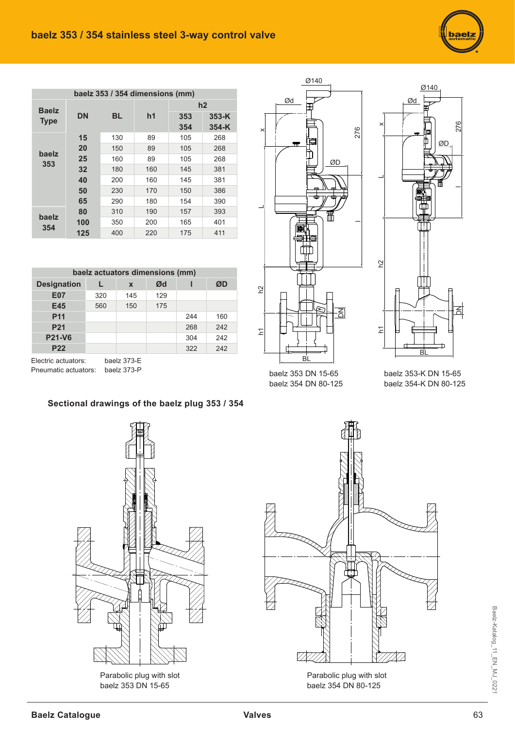| baelz 353 / 354 dimensions (mm) |           |     |     |     |         |  |  |  |  |  |  |  |  |  |
|---------------------------------|-----------|-----|-----|-----|---------|--|--|--|--|--|--|--|--|--|
| <b>Baelz</b>                    |           |     |     |     | h2      |  |  |  |  |  |  |  |  |  |
| <b>Type</b>                     | <b>DN</b> | BL  | h1  | 353 | $353-K$ |  |  |  |  |  |  |  |  |  |
|                                 |           |     |     | 354 | $354-K$ |  |  |  |  |  |  |  |  |  |
|                                 | 15        | 130 | 89  | 105 | 268     |  |  |  |  |  |  |  |  |  |
| baelz                           | 20        | 150 | 89  | 105 | 268     |  |  |  |  |  |  |  |  |  |
| 353                             | 25        | 160 | 89  | 105 | 268     |  |  |  |  |  |  |  |  |  |
|                                 | 32<br>40  | 180 | 160 | 145 | 381     |  |  |  |  |  |  |  |  |  |
|                                 |           | 200 | 160 | 145 | 381     |  |  |  |  |  |  |  |  |  |
|                                 | 50        | 230 | 170 | 150 | 386     |  |  |  |  |  |  |  |  |  |
|                                 | 65        | 290 | 180 | 154 | 390     |  |  |  |  |  |  |  |  |  |
| baelz                           | 80        | 310 | 190 | 157 | 393     |  |  |  |  |  |  |  |  |  |
| 354                             | 100       | 350 | 200 | 165 | 401     |  |  |  |  |  |  |  |  |  |
|                                 | 125       | 400 | 220 | 175 | 411     |  |  |  |  |  |  |  |  |  |

| baelz actuators dimensions (mm)                    |     |     |     |     |     |  |  |  |  |  |  |  |  |  |
|----------------------------------------------------|-----|-----|-----|-----|-----|--|--|--|--|--|--|--|--|--|
| Ød<br>ØD<br><b>Designation</b><br>$\boldsymbol{x}$ |     |     |     |     |     |  |  |  |  |  |  |  |  |  |
| <b>E07</b>                                         | 320 | 145 | 129 |     |     |  |  |  |  |  |  |  |  |  |
| E45                                                | 560 | 150 | 175 |     |     |  |  |  |  |  |  |  |  |  |
| <b>P11</b>                                         |     |     |     | 244 | 160 |  |  |  |  |  |  |  |  |  |
| <b>P21</b>                                         |     |     |     | 268 | 242 |  |  |  |  |  |  |  |  |  |
| <b>P21-V6</b>                                      |     |     |     | 304 | 242 |  |  |  |  |  |  |  |  |  |
| <b>P22</b>                                         |     |     |     | 322 | 242 |  |  |  |  |  |  |  |  |  |
|                                                    |     |     |     |     |     |  |  |  |  |  |  |  |  |  |

Electric actuators: baelz 373-E Pneumatic actuators: baelz 373-P



baelz 353 DN 15-65 baelz 354 DN 80-125



Ød

Ø140

baelz 353-K DN 15-65 baelz 354-K DN 80-125

## **Sectional drawings of the baelz plug 353 / 354**



Parabolic plug with slot baelz 353 DN 15-65



baelz 354 DN 80-125